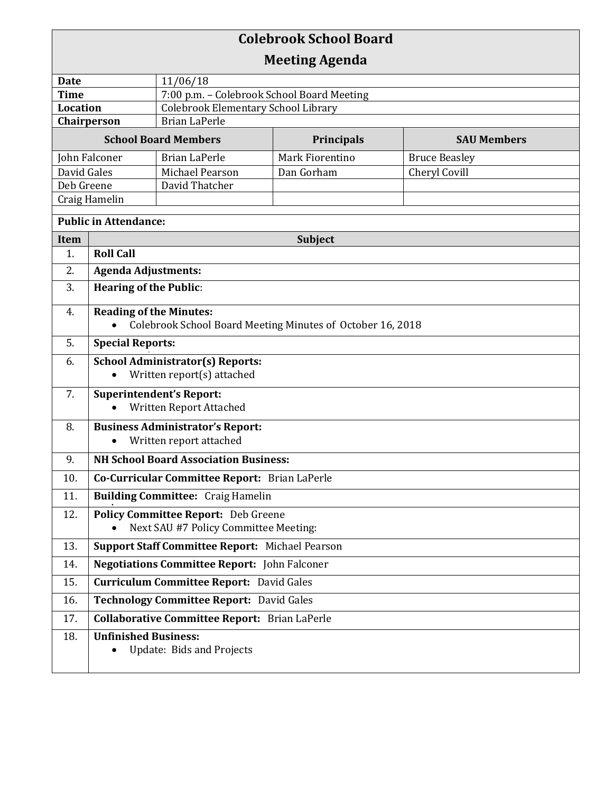| <b>Colebrook School Board</b>  |                                                                                              |                                                                                          |                       |                      |  |
|--------------------------------|----------------------------------------------------------------------------------------------|------------------------------------------------------------------------------------------|-----------------------|----------------------|--|
|                                |                                                                                              |                                                                                          | <b>Meeting Agenda</b> |                      |  |
| <b>Date</b>                    |                                                                                              | 11/06/18                                                                                 |                       |                      |  |
| <b>Time</b><br><b>Location</b> |                                                                                              | 7:00 p.m. - Colebrook School Board Meeting<br><b>Colebrook Elementary School Library</b> |                       |                      |  |
| Chairperson                    |                                                                                              | <b>Brian LaPerle</b>                                                                     |                       |                      |  |
| <b>School Board Members</b>    |                                                                                              | Principals                                                                               | <b>SAU Members</b>    |                      |  |
| John Falconer                  |                                                                                              | <b>Brian LaPerle</b>                                                                     | Mark Fiorentino       | <b>Bruce Beasley</b> |  |
| David Gales                    |                                                                                              | Michael Pearson                                                                          | Dan Gorham            | Cheryl Covill        |  |
| Deb Greene                     |                                                                                              | David Thatcher                                                                           |                       |                      |  |
| Craig Hamelin                  |                                                                                              |                                                                                          |                       |                      |  |
| <b>Public in Attendance:</b>   |                                                                                              |                                                                                          |                       |                      |  |
| <b>Item</b>                    | <b>Subject</b>                                                                               |                                                                                          |                       |                      |  |
| 1.                             | <b>Roll Call</b>                                                                             |                                                                                          |                       |                      |  |
| 2.                             | <b>Agenda Adjustments:</b>                                                                   |                                                                                          |                       |                      |  |
| 3.                             | <b>Hearing of the Public:</b>                                                                |                                                                                          |                       |                      |  |
| 4.                             | <b>Reading of the Minutes:</b><br>Colebrook School Board Meeting Minutes of October 16, 2018 |                                                                                          |                       |                      |  |
| 5.                             | <b>Special Reports:</b>                                                                      |                                                                                          |                       |                      |  |
| 6.                             | <b>School Administrator(s) Reports:</b><br>Written report(s) attached<br>$\bullet$           |                                                                                          |                       |                      |  |
| 7.                             | <b>Superintendent's Report:</b><br>Written Report Attached                                   |                                                                                          |                       |                      |  |
| 8.                             | <b>Business Administrator's Report:</b><br>Written report attached                           |                                                                                          |                       |                      |  |
| 9.                             | <b>NH School Board Association Business:</b>                                                 |                                                                                          |                       |                      |  |
| 10.                            | Co-Curricular Committee Report: Brian LaPerle                                                |                                                                                          |                       |                      |  |
| 11.                            | <b>Building Committee: Craig Hamelin</b>                                                     |                                                                                          |                       |                      |  |
| 12.                            | <b>Policy Committee Report:</b> Deb Greene<br>Next SAU #7 Policy Committee Meeting:          |                                                                                          |                       |                      |  |
| 13.                            | <b>Support Staff Committee Report: Michael Pearson</b>                                       |                                                                                          |                       |                      |  |
| 14.                            | <b>Negotiations Committee Report:</b> John Falconer                                          |                                                                                          |                       |                      |  |
| 15.                            | <b>Curriculum Committee Report:</b> David Gales                                              |                                                                                          |                       |                      |  |
| 16.                            | Technology Committee Report: David Gales                                                     |                                                                                          |                       |                      |  |
| 17.                            | <b>Collaborative Committee Report:</b> Brian LaPerle                                         |                                                                                          |                       |                      |  |
| 18.                            | <b>Unfinished Business:</b>                                                                  | Update: Bids and Projects                                                                |                       |                      |  |